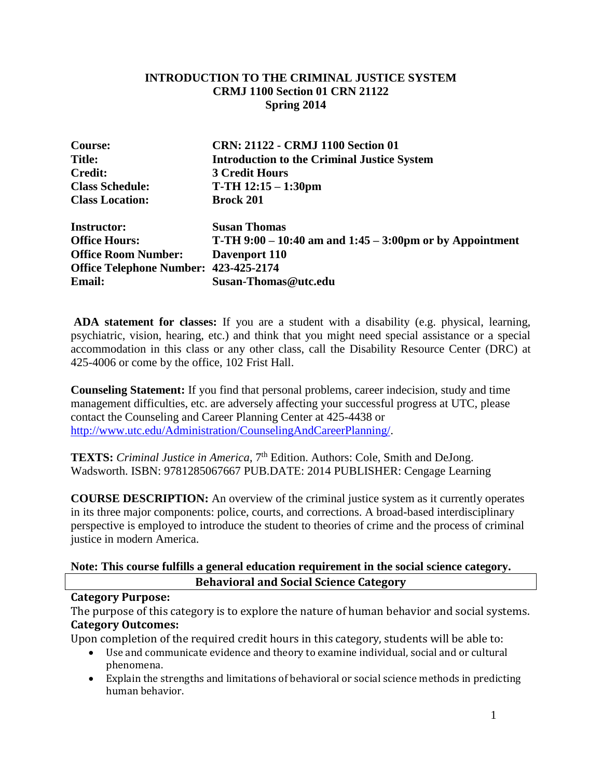## **INTRODUCTION TO THE CRIMINAL JUSTICE SYSTEM CRMJ 1100 Section 01 CRN 21122 Spring 2014**

| <b>Course:</b>                        | CRN: 21122 - CRMJ 1100 Section 01                               |
|---------------------------------------|-----------------------------------------------------------------|
| <b>Title:</b>                         | <b>Introduction to the Criminal Justice System</b>              |
| <b>Credit:</b>                        | <b>3 Credit Hours</b>                                           |
| <b>Class Schedule:</b>                | $T-TH$ 12:15 – 1:30pm                                           |
| <b>Class Location:</b>                | <b>Brock 201</b>                                                |
| <b>Instructor:</b>                    | <b>Susan Thomas</b>                                             |
| <b>Office Hours:</b>                  | <b>T-TH 9:00 – 10:40 am and 1:45 – 3:00pm or by Appointment</b> |
| <b>Office Room Number:</b>            | Davenport 110                                                   |
| Office Telephone Number: 423-425-2174 |                                                                 |
| <b>Email:</b>                         | Susan-Thomas@utc.edu                                            |

**ADA statement for classes:** If you are a student with a disability (e.g. physical, learning, psychiatric, vision, hearing, etc.) and think that you might need special assistance or a special accommodation in this class or any other class, call the Disability Resource Center (DRC) at 425-4006 or come by the office, 102 Frist Hall.

**Counseling Statement:** If you find that personal problems, career indecision, study and time management difficulties, etc. are adversely affecting your successful progress at UTC, please contact the Counseling and Career Planning Center at 425-4438 or [http://www.utc.edu/Administration/CounselingAndCareerPlanning/.](http://www.utc.edu/Administration/CounselingAndCareerPlanning/)

TEXTS: Criminal Justice in America, 7<sup>th</sup> Edition. Authors: Cole, Smith and DeJong. Wadsworth. ISBN: 9781285067667 PUB.DATE: 2014 PUBLISHER: Cengage Learning

**COURSE DESCRIPTION:** An overview of the criminal justice system as it currently operates in its three major components: police, courts, and corrections. A broad-based interdisciplinary perspective is employed to introduce the student to theories of crime and the process of criminal justice in modern America.

## **Note: This course fulfills a general education requirement in the social science category. Behavioral and Social Science Category**

## **Category Purpose:**

The purpose of this category is to explore the nature of human behavior and social systems. **Category Outcomes:**

Upon completion of the required credit hours in this category, students will be able to:

- Use and communicate evidence and theory to examine individual, social and or cultural phenomena.
- Explain the strengths and limitations of behavioral or social science methods in predicting human behavior.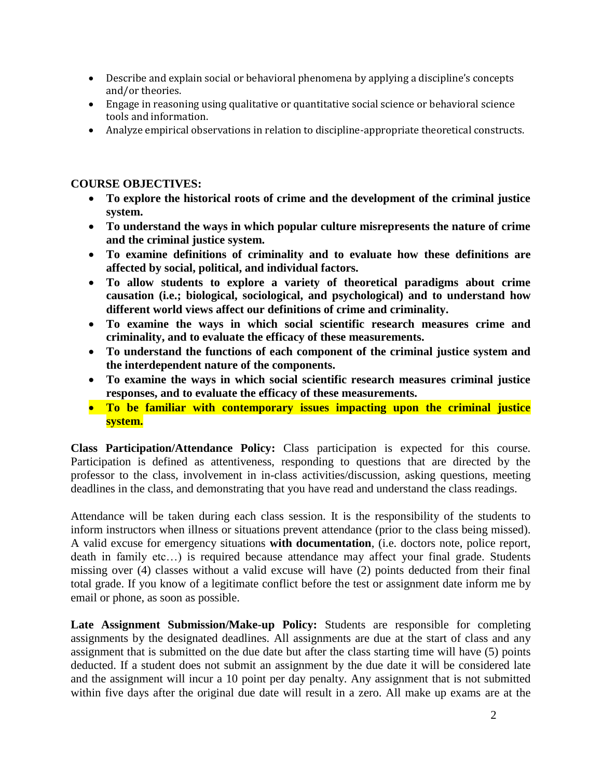- Describe and explain social or behavioral phenomena by applying a discipline's concepts and/or theories.
- Engage in reasoning using qualitative or quantitative social science or behavioral science tools and information.
- Analyze empirical observations in relation to discipline-appropriate theoretical constructs.

## **COURSE OBJECTIVES:**

- **To explore the historical roots of crime and the development of the criminal justice system.**
- **To understand the ways in which popular culture misrepresents the nature of crime and the criminal justice system.**
- **To examine definitions of criminality and to evaluate how these definitions are affected by social, political, and individual factors.**
- **To allow students to explore a variety of theoretical paradigms about crime causation (i.e.; biological, sociological, and psychological) and to understand how different world views affect our definitions of crime and criminality.**
- **To examine the ways in which social scientific research measures crime and criminality, and to evaluate the efficacy of these measurements.**
- **To understand the functions of each component of the criminal justice system and the interdependent nature of the components.**
- **To examine the ways in which social scientific research measures criminal justice responses, and to evaluate the efficacy of these measurements.**
- **To be familiar with contemporary issues impacting upon the criminal justice system.**

**Class Participation/Attendance Policy:** Class participation is expected for this course. Participation is defined as attentiveness, responding to questions that are directed by the professor to the class, involvement in in-class activities/discussion, asking questions, meeting deadlines in the class, and demonstrating that you have read and understand the class readings.

Attendance will be taken during each class session. It is the responsibility of the students to inform instructors when illness or situations prevent attendance (prior to the class being missed). A valid excuse for emergency situations **with documentation**, (i.e. doctors note, police report, death in family etc…) is required because attendance may affect your final grade. Students missing over (4) classes without a valid excuse will have (2) points deducted from their final total grade. If you know of a legitimate conflict before the test or assignment date inform me by email or phone, as soon as possible.

**Late Assignment Submission/Make-up Policy:** Students are responsible for completing assignments by the designated deadlines. All assignments are due at the start of class and any assignment that is submitted on the due date but after the class starting time will have (5) points deducted. If a student does not submit an assignment by the due date it will be considered late and the assignment will incur a 10 point per day penalty. Any assignment that is not submitted within five days after the original due date will result in a zero. All make up exams are at the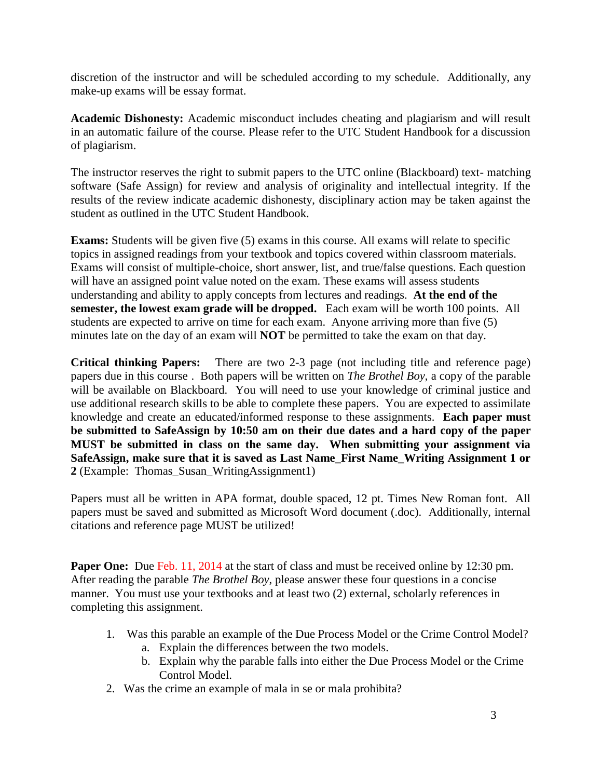discretion of the instructor and will be scheduled according to my schedule. Additionally, any make-up exams will be essay format.

**Academic Dishonesty:** Academic misconduct includes cheating and plagiarism and will result in an automatic failure of the course. Please refer to the UTC Student Handbook for a discussion of plagiarism.

The instructor reserves the right to submit papers to the UTC online (Blackboard) text- matching software (Safe Assign) for review and analysis of originality and intellectual integrity. If the results of the review indicate academic dishonesty, disciplinary action may be taken against the student as outlined in the UTC Student Handbook.

**Exams:** Students will be given five (5) exams in this course. All exams will relate to specific topics in assigned readings from your textbook and topics covered within classroom materials. Exams will consist of multiple-choice, short answer, list, and true/false questions. Each question will have an assigned point value noted on the exam. These exams will assess students understanding and ability to apply concepts from lectures and readings. **At the end of the semester, the lowest exam grade will be dropped.** Each exam will be worth 100 points. All students are expected to arrive on time for each exam. Anyone arriving more than five (5) minutes late on the day of an exam will **NOT** be permitted to take the exam on that day.

**Critical thinking Papers:** There are two 2-3 page (not including title and reference page) papers due in this course . Both papers will be written on *The Brothel Boy*, a copy of the parable will be available on Blackboard. You will need to use your knowledge of criminal justice and use additional research skills to be able to complete these papers. You are expected to assimilate knowledge and create an educated/informed response to these assignments. **Each paper must be submitted to SafeAssign by 10:50 am on their due dates and a hard copy of the paper MUST be submitted in class on the same day. When submitting your assignment via SafeAssign, make sure that it is saved as Last Name\_First Name\_Writing Assignment 1 or 2** (Example: Thomas\_Susan\_WritingAssignment1)

Papers must all be written in APA format, double spaced, 12 pt. Times New Roman font. All papers must be saved and submitted as Microsoft Word document (.doc). Additionally, internal citations and reference page MUST be utilized!

**Paper One:** Due Feb. 11, 2014 at the start of class and must be received online by 12:30 pm. After reading the parable *The Brothel Boy*, please answer these four questions in a concise manner. You must use your textbooks and at least two (2) external, scholarly references in completing this assignment.

- 1. Was this parable an example of the Due Process Model or the Crime Control Model?
	- a. Explain the differences between the two models.
	- b. Explain why the parable falls into either the Due Process Model or the Crime Control Model.
- 2. Was the crime an example of mala in se or mala prohibita?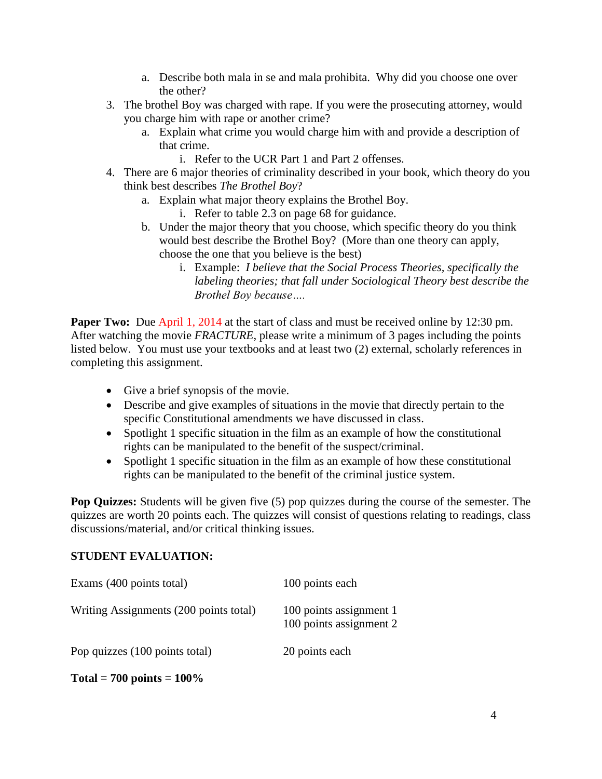- a. Describe both mala in se and mala prohibita. Why did you choose one over the other?
- 3. The brothel Boy was charged with rape. If you were the prosecuting attorney, would you charge him with rape or another crime?
	- a. Explain what crime you would charge him with and provide a description of that crime.
		- i. Refer to the UCR Part 1 and Part 2 offenses.
- 4. There are 6 major theories of criminality described in your book, which theory do you think best describes *The Brothel Boy*?
	- a. Explain what major theory explains the Brothel Boy.
		- i. Refer to table 2.3 on page 68 for guidance.
	- b. Under the major theory that you choose, which specific theory do you think would best describe the Brothel Boy? (More than one theory can apply, choose the one that you believe is the best)
		- i. Example: *I believe that the Social Process Theories, specifically the labeling theories; that fall under Sociological Theory best describe the Brothel Boy because….*

**Paper Two:** Due April 1, 2014 at the start of class and must be received online by 12:30 pm. After watching the movie *FRACTURE*, please write a minimum of 3 pages including the points listed below. You must use your textbooks and at least two (2) external, scholarly references in completing this assignment.

- Give a brief synopsis of the movie.
- Describe and give examples of situations in the movie that directly pertain to the specific Constitutional amendments we have discussed in class.
- Spotlight 1 specific situation in the film as an example of how the constitutional rights can be manipulated to the benefit of the suspect/criminal.
- Spotlight 1 specific situation in the film as an example of how these constitutional rights can be manipulated to the benefit of the criminal justice system.

**Pop Quizzes:** Students will be given five (5) pop quizzes during the course of the semester. The quizzes are worth 20 points each. The quizzes will consist of questions relating to readings, class discussions/material, and/or critical thinking issues.

## **STUDENT EVALUATION:**

| Exams (400 points total)               | 100 points each                                    |
|----------------------------------------|----------------------------------------------------|
| Writing Assignments (200 points total) | 100 points assignment 1<br>100 points assignment 2 |
| Pop quizzes (100 points total)         | 20 points each                                     |

**Total = 700 points = 100%**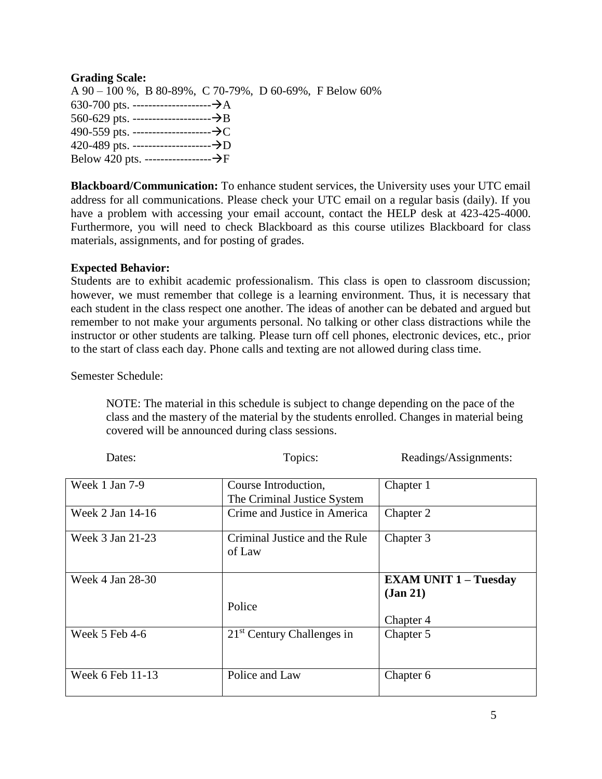## **Grading Scale:**

A 90 – 100 %, B 80-89%, C 70-79%, D 60-69%, F Below 60% 630-700 pts. --------------------A 560-629 pts. --------------------B 490-559 pts. --------------------C 420-489 pts. --------------------D Below 420 pts. -----------------F

**Blackboard/Communication:** To enhance student services, the University uses your UTC email address for all communications. Please check your UTC email on a regular basis (daily). If you have a problem with accessing your email account, contact the HELP desk at 423-425-4000. Furthermore, you will need to check Blackboard as this course utilizes Blackboard for class materials, assignments, and for posting of grades.

#### **Expected Behavior:**

Students are to exhibit academic professionalism. This class is open to classroom discussion; however, we must remember that college is a learning environment. Thus, it is necessary that each student in the class respect one another. The ideas of another can be debated and argued but remember to not make your arguments personal. No talking or other class distractions while the instructor or other students are talking. Please turn off cell phones, electronic devices, etc., prior to the start of class each day. Phone calls and texting are not allowed during class time.

Semester Schedule:

NOTE: The material in this schedule is subject to change depending on the pace of the class and the mastery of the material by the students enrolled. Changes in material being covered will be announced during class sessions.

Dates: Topics: Readings/Assignments:

| Week 1 Jan 7-9     | Course Introduction,                    | Chapter 1                    |
|--------------------|-----------------------------------------|------------------------------|
|                    | The Criminal Justice System             |                              |
| Week 2 Jan 14-16   | Crime and Justice in America            | Chapter 2                    |
| Week 3 Jan 21-23   | Criminal Justice and the Rule<br>of Law | Chapter 3                    |
| Week 4 Jan 28-30   |                                         | <b>EXAM UNIT 1 – Tuesday</b> |
|                    |                                         | (Jan 21)                     |
|                    | Police                                  |                              |
|                    |                                         | Chapter 4                    |
| Week $5$ Feb $4-6$ | $21st$ Century Challenges in            | Chapter 5                    |
|                    |                                         |                              |
| Week 6 Feb 11-13   | Police and Law                          | Chapter 6                    |
|                    |                                         |                              |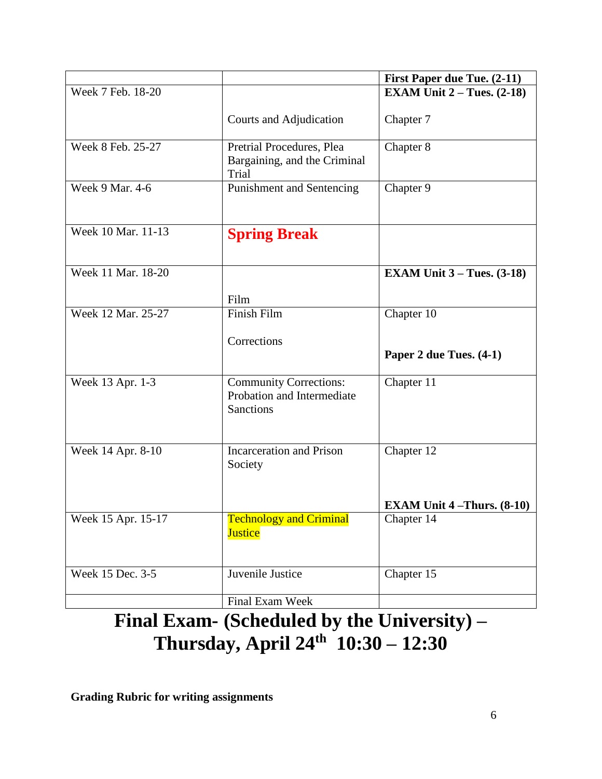|                    |                                                                                 | <b>First Paper due Tue. (2-11)</b>                    |
|--------------------|---------------------------------------------------------------------------------|-------------------------------------------------------|
| Week 7 Feb. 18-20  |                                                                                 | <b>EXAM Unit 2 – Tues. <math>(2-18)</math></b>        |
|                    | Courts and Adjudication                                                         | Chapter 7                                             |
| Week 8 Feb. 25-27  | Pretrial Procedures, Plea<br>Bargaining, and the Criminal<br>Trial              | Chapter 8                                             |
| Week 9 Mar. 4-6    | <b>Punishment and Sentencing</b>                                                | Chapter 9                                             |
| Week 10 Mar. 11-13 | <b>Spring Break</b>                                                             |                                                       |
| Week 11 Mar. 18-20 |                                                                                 | <b>EXAM Unit <math>3 - \text{Tues.} (3-18)</math></b> |
|                    | Film                                                                            |                                                       |
| Week 12 Mar. 25-27 | Finish Film                                                                     | Chapter 10                                            |
|                    | Corrections                                                                     |                                                       |
|                    |                                                                                 | Paper 2 due Tues. (4-1)                               |
| Week 13 Apr. 1-3   | <b>Community Corrections:</b><br>Probation and Intermediate<br><b>Sanctions</b> | Chapter 11                                            |
| Week 14 Apr. 8-10  | <b>Incarceration</b> and Prison<br>Society                                      | Chapter 12                                            |
|                    |                                                                                 | <b>EXAM Unit 4-Thurs.</b> $(8-10)$                    |
| Week 15 Apr. 15-17 | <b>Technology and Criminal</b><br><b>Justice</b>                                | Chapter 14                                            |
| Week 15 Dec. 3-5   | Juvenile Justice                                                                | Chapter $15$                                          |
|                    | Final Exam Week                                                                 |                                                       |

# **Final Exam- (Scheduled by the University) – Thursday, April 24th 10:30 – 12:30**

**Grading Rubric for writing assignments**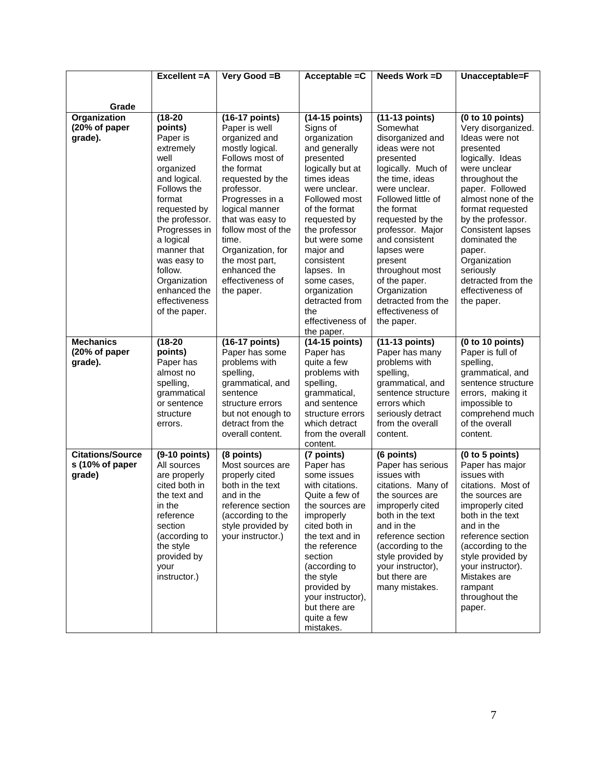|                                                      | Excellent = A                                                                                                                                                                                                                                                                          | Very Good =B                                                                                                                                                                                                                                                                                                            | Acceptable $=C$                                                                                                                                                                                                                                                                                                                       | Needs Work = D                                                                                                                                                                                                                                                                                                                                                              | Unacceptable=F                                                                                                                                                                                                                                                                                                                                            |
|------------------------------------------------------|----------------------------------------------------------------------------------------------------------------------------------------------------------------------------------------------------------------------------------------------------------------------------------------|-------------------------------------------------------------------------------------------------------------------------------------------------------------------------------------------------------------------------------------------------------------------------------------------------------------------------|---------------------------------------------------------------------------------------------------------------------------------------------------------------------------------------------------------------------------------------------------------------------------------------------------------------------------------------|-----------------------------------------------------------------------------------------------------------------------------------------------------------------------------------------------------------------------------------------------------------------------------------------------------------------------------------------------------------------------------|-----------------------------------------------------------------------------------------------------------------------------------------------------------------------------------------------------------------------------------------------------------------------------------------------------------------------------------------------------------|
|                                                      |                                                                                                                                                                                                                                                                                        |                                                                                                                                                                                                                                                                                                                         |                                                                                                                                                                                                                                                                                                                                       |                                                                                                                                                                                                                                                                                                                                                                             |                                                                                                                                                                                                                                                                                                                                                           |
| Grade                                                |                                                                                                                                                                                                                                                                                        |                                                                                                                                                                                                                                                                                                                         |                                                                                                                                                                                                                                                                                                                                       |                                                                                                                                                                                                                                                                                                                                                                             |                                                                                                                                                                                                                                                                                                                                                           |
| Organization<br>(20% of paper<br>grade).             | $(18-20)$<br>points)<br>Paper is<br>extremely<br>well<br>organized<br>and logical.<br>Follows the<br>format<br>requested by<br>the professor.<br>Progresses in<br>a logical<br>manner that<br>was easy to<br>follow.<br>Organization<br>enhanced the<br>effectiveness<br>of the paper. | (16-17 points)<br>Paper is well<br>organized and<br>mostly logical.<br>Follows most of<br>the format<br>requested by the<br>professor.<br>Progresses in a<br>logical manner<br>that was easy to<br>follow most of the<br>time.<br>Organization, for<br>the most part,<br>enhanced the<br>effectiveness of<br>the paper. | (14-15 points)<br>Signs of<br>organization<br>and generally<br>presented<br>logically but at<br>times ideas<br>were unclear.<br>Followed most<br>of the format<br>requested by<br>the professor<br>but were some<br>major and<br>consistent<br>lapses. In<br>some cases,<br>organization<br>detracted from<br>the<br>effectiveness of | (11-13 points)<br>Somewhat<br>disorganized and<br>ideas were not<br>presented<br>logically. Much of<br>the time, ideas<br>were unclear.<br>Followed little of<br>the format<br>requested by the<br>professor. Major<br>and consistent<br>lapses were<br>present<br>throughout most<br>of the paper.<br>Organization<br>detracted from the<br>effectiveness of<br>the paper. | (0 to 10 points)<br>Very disorganized.<br>Ideas were not<br>presented<br>logically. Ideas<br>were unclear<br>throughout the<br>paper. Followed<br>almost none of the<br>format requested<br>by the professor.<br><b>Consistent lapses</b><br>dominated the<br>paper.<br>Organization<br>seriously<br>detracted from the<br>effectiveness of<br>the paper. |
| <b>Mechanics</b><br>(20% of paper<br>grade).         | $(18-20)$<br>points)<br>Paper has<br>almost no<br>spelling,<br>grammatical<br>or sentence<br>structure<br>errors.                                                                                                                                                                      | (16-17 points)<br>Paper has some<br>problems with<br>spelling,<br>grammatical, and<br>sentence<br>structure errors<br>but not enough to<br>detract from the<br>overall content.                                                                                                                                         | the paper.<br>(14-15 points)<br>Paper has<br>quite a few<br>problems with<br>spelling,<br>grammatical,<br>and sentence<br>structure errors<br>which detract<br>from the overall<br>content.                                                                                                                                           | (11-13 points)<br>Paper has many<br>problems with<br>spelling,<br>grammatical, and<br>sentence structure<br>errors which<br>seriously detract<br>from the overall<br>content.                                                                                                                                                                                               | (0 to 10 points)<br>Paper is full of<br>spelling,<br>grammatical, and<br>sentence structure<br>errors, making it<br>impossible to<br>comprehend much<br>of the overall<br>content.                                                                                                                                                                        |
| <b>Citations/Source</b><br>s (10% of paper<br>grade) | $(9-10$ points)<br>All sources<br>are properly<br>cited both in<br>the text and<br>in the<br>reference<br>section<br>(according to<br>the style<br>provided by<br>your<br>instructor.)                                                                                                 | (8 points)<br>Most sources are<br>properly cited<br>both in the text<br>and in the<br>reference section<br>(according to the<br>style provided by<br>your instructor.)                                                                                                                                                  | (7 points)<br>Paper has<br>some issues<br>with citations.<br>Quite a few of<br>the sources are<br>improperly<br>cited both in<br>the text and in<br>the reference<br>section<br>(according to<br>the style<br>provided by<br>your instructor),<br>but there are<br>quite a few<br>mistakes.                                           | (6 points)<br>Paper has serious<br>issues with<br>citations. Many of<br>the sources are<br>improperly cited<br>both in the text<br>and in the<br>reference section<br>(according to the<br>style provided by<br>your instructor),<br>but there are<br>many mistakes.                                                                                                        | (0 to 5 points)<br>Paper has major<br>issues with<br>citations. Most of<br>the sources are<br>improperly cited<br>both in the text<br>and in the<br>reference section<br>(according to the<br>style provided by<br>your instructor).<br>Mistakes are<br>rampant<br>throughout the<br>paper.                                                               |